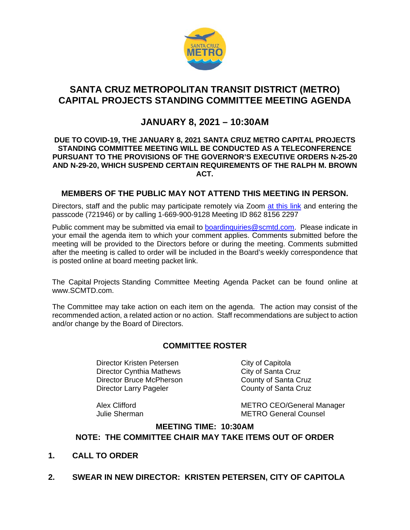

# **SANTA CRUZ METROPOLITAN TRANSIT DISTRICT (METRO) CAPITAL PROJECTS STANDING COMMITTEE MEETING AGENDA**

# **JANUARY 8, 2021 – 10:30AM**

#### **DUE TO COVID-19, THE JANUARY 8, 2021 SANTA CRUZ METRO CAPITAL PROJECTS STANDING COMMITTEE MEETING WILL BE CONDUCTED AS A TELECONFERENCE PURSUANT TO THE PROVISIONS OF THE GOVERNOR'S EXECUTIVE ORDERS N-25-20 AND N-29-20, WHICH SUSPEND CERTAIN REQUIREMENTS OF THE RALPH M. BROWN ACT.**

#### **MEMBERS OF THE PUBLIC MAY NOT ATTEND THIS MEETING IN PERSON.**

Directors, staff and the public may participate remotely via Zoom [at this link](https://us02web.zoom.us/j/86281562297?pwd=ZDhHWmlQZW9FYXVrd21ZazBEdVlEdz09) and entering the passcode (721946) or by calling 1-669-900-9128 Meeting ID 862 8156 2297

Public comment may be submitted via email to [boardinquiries@scmtd.com.](mailto:boardinquiries@scmtd.com) Please indicate in your email the agenda item to which your comment applies. Comments submitted before the meeting will be provided to the Directors before or during the meeting. Comments submitted after the meeting is called to order will be included in the Board's weekly correspondence that is posted online at board meeting packet link.

The Capital Projects Standing Committee Meeting Agenda Packet can be found online at [www.SCMTD.com.](http://www.scmtd.com/)

The Committee may take action on each item on the agenda. The action may consist of the recommended action, a related action or no action. Staff recommendations are subject to action and/or change by the Board of Directors.

## **COMMITTEE ROSTER**

Director Kristen Petersen City of Capitola Director Cynthia Mathews City of Santa Cruz Director Bruce McPherson County of Santa Cruz Director Larry Pageler County of Santa Cruz

Alex Clifford<br>
METRO CEO/General Manager<br>
METRO General Counsel **METRO General Counsel** 

## **MEETING TIME: 10:30AM NOTE: THE COMMITTEE CHAIR MAY TAKE ITEMS OUT OF ORDER**

- **1. CALL TO ORDER**
- **2. SWEAR IN NEW DIRECTOR: KRISTEN PETERSEN, CITY OF CAPITOLA**